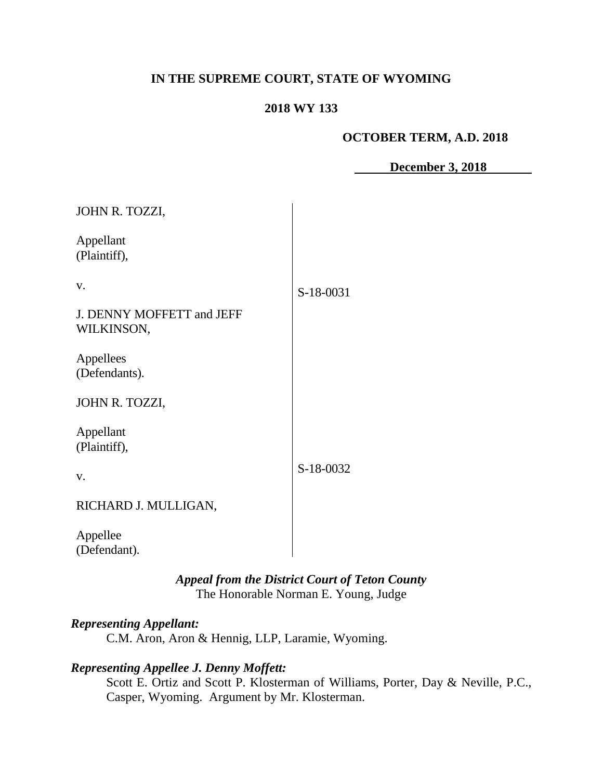# **IN THE SUPREME COURT, STATE OF WYOMING**

### **2018 WY 133**

### **OCTOBER TERM, A.D. 2018**

**December 3, 2018**

| JOHN R. TOZZI,                                 |           |
|------------------------------------------------|-----------|
| Appellant<br>(Plaintiff),                      |           |
| V.                                             | S-18-0031 |
| <b>J. DENNY MOFFETT and JEFF</b><br>WILKINSON, |           |
| Appellees<br>(Defendants).                     |           |
| JOHN R. TOZZI,                                 |           |
| Appellant<br>(Plaintiff),                      |           |
| V.                                             | S-18-0032 |
| RICHARD J. MULLIGAN,                           |           |
| Appellee<br>(Defendant).                       |           |

*Appeal from the District Court of Teton County* The Honorable Norman E. Young, Judge

### *Representing Appellant:*

C.M. Aron, Aron & Hennig, LLP, Laramie, Wyoming.

## *Representing Appellee J. Denny Moffett:*

Scott E. Ortiz and Scott P. Klosterman of Williams, Porter, Day & Neville, P.C., Casper, Wyoming. Argument by Mr. Klosterman.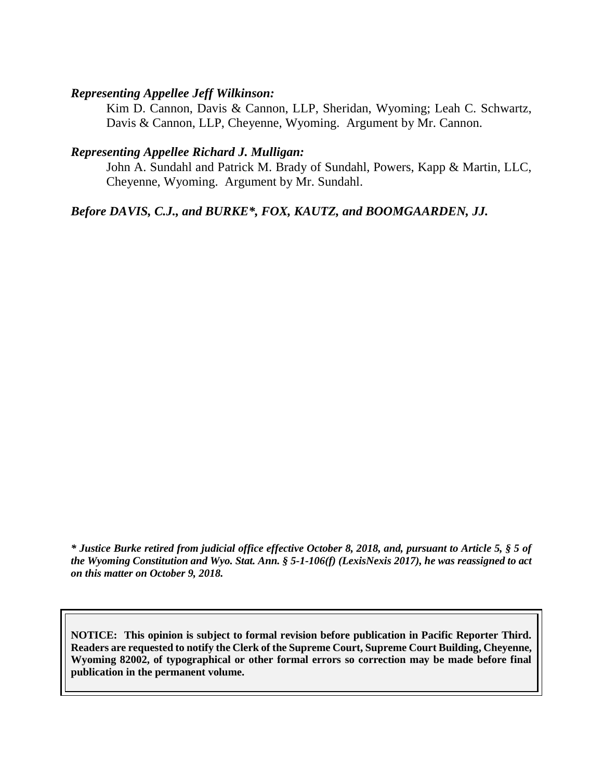#### *Representing Appellee Jeff Wilkinson:*

Kim D. Cannon, Davis & Cannon, LLP, Sheridan, Wyoming; Leah C. Schwartz, Davis & Cannon, LLP, Cheyenne, Wyoming. Argument by Mr. Cannon.

#### *Representing Appellee Richard J. Mulligan:*

John A. Sundahl and Patrick M. Brady of Sundahl, Powers, Kapp & Martin, LLC, Cheyenne, Wyoming. Argument by Mr. Sundahl.

*Before DAVIS, C.J., and BURKE\*, FOX, KAUTZ, and BOOMGAARDEN, JJ.*

*\* Justice Burke retired from judicial office effective October 8, 2018, and, pursuant to Article 5, § 5 of the Wyoming Constitution and Wyo. Stat. Ann. § 5-1-106(f) (LexisNexis 2017), he was reassigned to act on this matter on October 9, 2018.*

**NOTICE: This opinion is subject to formal revision before publication in Pacific Reporter Third. Readers are requested to notify the Clerk of the Supreme Court, Supreme Court Building, Cheyenne, Wyoming 82002, of typographical or other formal errors so correction may be made before final publication in the permanent volume.**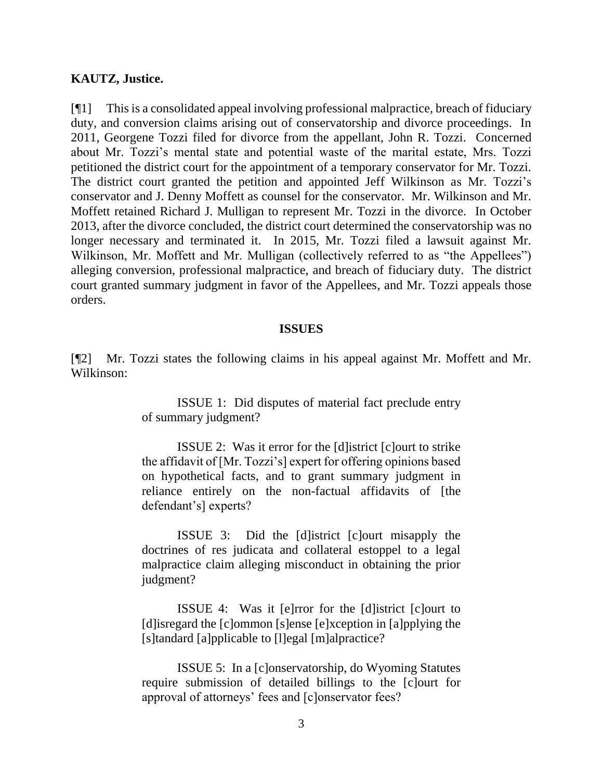### **KAUTZ, Justice.**

[¶1] This is a consolidated appeal involving professional malpractice, breach of fiduciary duty, and conversion claims arising out of conservatorship and divorce proceedings. In 2011, Georgene Tozzi filed for divorce from the appellant, John R. Tozzi. Concerned about Mr. Tozzi's mental state and potential waste of the marital estate, Mrs. Tozzi petitioned the district court for the appointment of a temporary conservator for Mr. Tozzi. The district court granted the petition and appointed Jeff Wilkinson as Mr. Tozzi's conservator and J. Denny Moffett as counsel for the conservator. Mr. Wilkinson and Mr. Moffett retained Richard J. Mulligan to represent Mr. Tozzi in the divorce. In October 2013, after the divorce concluded, the district court determined the conservatorship was no longer necessary and terminated it. In 2015, Mr. Tozzi filed a lawsuit against Mr. Wilkinson, Mr. Moffett and Mr. Mulligan (collectively referred to as "the Appellees") alleging conversion, professional malpractice, and breach of fiduciary duty. The district court granted summary judgment in favor of the Appellees, and Mr. Tozzi appeals those orders.

#### **ISSUES**

[¶2] Mr. Tozzi states the following claims in his appeal against Mr. Moffett and Mr. Wilkinson:

> ISSUE 1: Did disputes of material fact preclude entry of summary judgment?

> ISSUE 2: Was it error for the [d]istrict [c]ourt to strike the affidavit of [Mr. Tozzi's] expert for offering opinions based on hypothetical facts, and to grant summary judgment in reliance entirely on the non-factual affidavits of [the defendant's] experts?

> ISSUE 3: Did the [d]istrict [c]ourt misapply the doctrines of res judicata and collateral estoppel to a legal malpractice claim alleging misconduct in obtaining the prior judgment?

> ISSUE 4: Was it [e]rror for the [d]istrict [c]ourt to [d]isregard the [c]ommon [s]ense [e]xception in [a]pplying the [s]tandard [a]pplicable to [l]egal [m]alpractice?

> ISSUE 5: In a [c]onservatorship, do Wyoming Statutes require submission of detailed billings to the [c]ourt for approval of attorneys' fees and [c]onservator fees?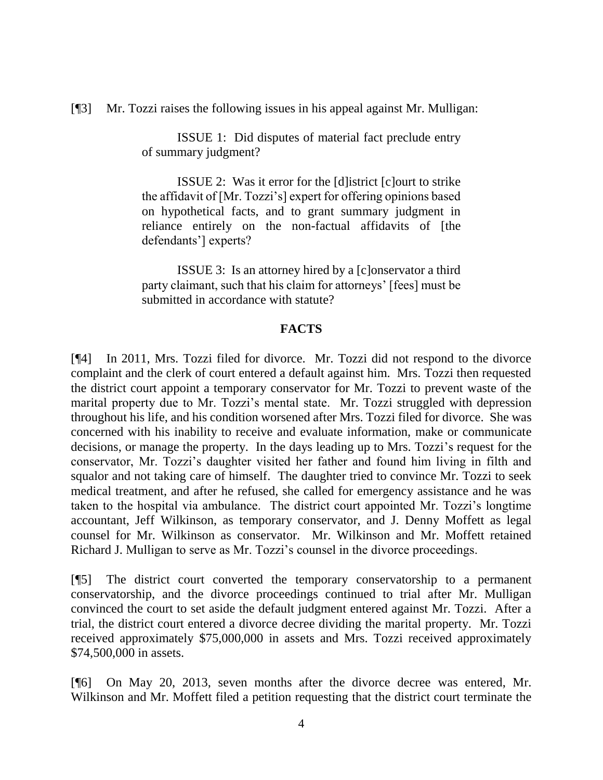[¶3] Mr. Tozzi raises the following issues in his appeal against Mr. Mulligan:

ISSUE 1: Did disputes of material fact preclude entry of summary judgment?

ISSUE 2: Was it error for the [d]istrict [c]ourt to strike the affidavit of [Mr. Tozzi's] expert for offering opinions based on hypothetical facts, and to grant summary judgment in reliance entirely on the non-factual affidavits of [the defendants'] experts?

ISSUE 3: Is an attorney hired by a [c]onservator a third party claimant, such that his claim for attorneys' [fees] must be submitted in accordance with statute?

### **FACTS**

[¶4] In 2011, Mrs. Tozzi filed for divorce. Mr. Tozzi did not respond to the divorce complaint and the clerk of court entered a default against him. Mrs. Tozzi then requested the district court appoint a temporary conservator for Mr. Tozzi to prevent waste of the marital property due to Mr. Tozzi's mental state. Mr. Tozzi struggled with depression throughout his life, and his condition worsened after Mrs. Tozzi filed for divorce. She was concerned with his inability to receive and evaluate information, make or communicate decisions, or manage the property. In the days leading up to Mrs. Tozzi's request for the conservator, Mr. Tozzi's daughter visited her father and found him living in filth and squalor and not taking care of himself. The daughter tried to convince Mr. Tozzi to seek medical treatment, and after he refused, she called for emergency assistance and he was taken to the hospital via ambulance. The district court appointed Mr. Tozzi's longtime accountant, Jeff Wilkinson, as temporary conservator, and J. Denny Moffett as legal counsel for Mr. Wilkinson as conservator. Mr. Wilkinson and Mr. Moffett retained Richard J. Mulligan to serve as Mr. Tozzi's counsel in the divorce proceedings.

[¶5] The district court converted the temporary conservatorship to a permanent conservatorship, and the divorce proceedings continued to trial after Mr. Mulligan convinced the court to set aside the default judgment entered against Mr. Tozzi. After a trial, the district court entered a divorce decree dividing the marital property. Mr. Tozzi received approximately \$75,000,000 in assets and Mrs. Tozzi received approximately \$74,500,000 in assets.

[¶6] On May 20, 2013, seven months after the divorce decree was entered, Mr. Wilkinson and Mr. Moffett filed a petition requesting that the district court terminate the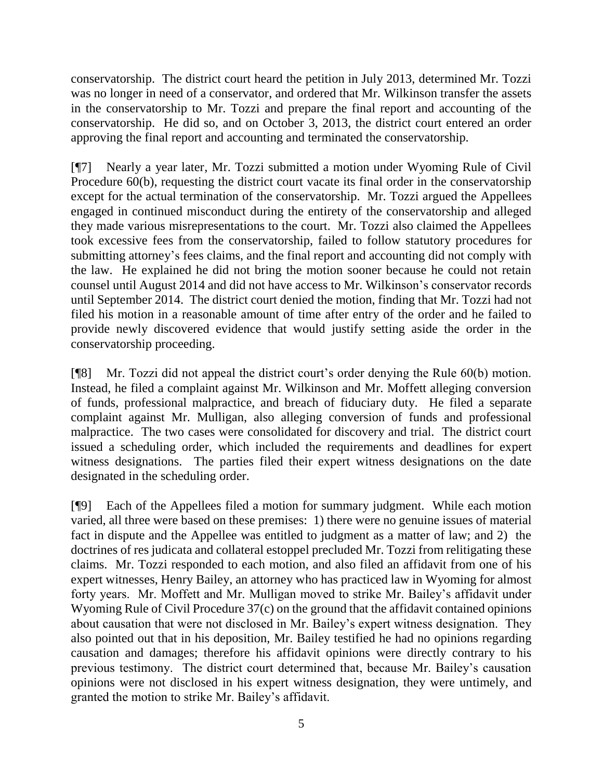conservatorship. The district court heard the petition in July 2013, determined Mr. Tozzi was no longer in need of a conservator, and ordered that Mr. Wilkinson transfer the assets in the conservatorship to Mr. Tozzi and prepare the final report and accounting of the conservatorship. He did so, and on October 3, 2013, the district court entered an order approving the final report and accounting and terminated the conservatorship.

[¶7] Nearly a year later, Mr. Tozzi submitted a motion under Wyoming Rule of Civil Procedure 60(b), requesting the district court vacate its final order in the conservatorship except for the actual termination of the conservatorship. Mr. Tozzi argued the Appellees engaged in continued misconduct during the entirety of the conservatorship and alleged they made various misrepresentations to the court. Mr. Tozzi also claimed the Appellees took excessive fees from the conservatorship, failed to follow statutory procedures for submitting attorney's fees claims, and the final report and accounting did not comply with the law. He explained he did not bring the motion sooner because he could not retain counsel until August 2014 and did not have access to Mr. Wilkinson's conservator records until September 2014. The district court denied the motion, finding that Mr. Tozzi had not filed his motion in a reasonable amount of time after entry of the order and he failed to provide newly discovered evidence that would justify setting aside the order in the conservatorship proceeding.

[¶8] Mr. Tozzi did not appeal the district court's order denying the Rule 60(b) motion. Instead, he filed a complaint against Mr. Wilkinson and Mr. Moffett alleging conversion of funds, professional malpractice, and breach of fiduciary duty. He filed a separate complaint against Mr. Mulligan, also alleging conversion of funds and professional malpractice. The two cases were consolidated for discovery and trial. The district court issued a scheduling order, which included the requirements and deadlines for expert witness designations. The parties filed their expert witness designations on the date designated in the scheduling order.

[¶9] Each of the Appellees filed a motion for summary judgment. While each motion varied, all three were based on these premises: 1) there were no genuine issues of material fact in dispute and the Appellee was entitled to judgment as a matter of law; and 2) the doctrines of res judicata and collateral estoppel precluded Mr. Tozzi from relitigating these claims. Mr. Tozzi responded to each motion, and also filed an affidavit from one of his expert witnesses, Henry Bailey, an attorney who has practiced law in Wyoming for almost forty years. Mr. Moffett and Mr. Mulligan moved to strike Mr. Bailey's affidavit under Wyoming Rule of Civil Procedure 37(c) on the ground that the affidavit contained opinions about causation that were not disclosed in Mr. Bailey's expert witness designation. They also pointed out that in his deposition, Mr. Bailey testified he had no opinions regarding causation and damages; therefore his affidavit opinions were directly contrary to his previous testimony. The district court determined that, because Mr. Bailey's causation opinions were not disclosed in his expert witness designation, they were untimely, and granted the motion to strike Mr. Bailey's affidavit.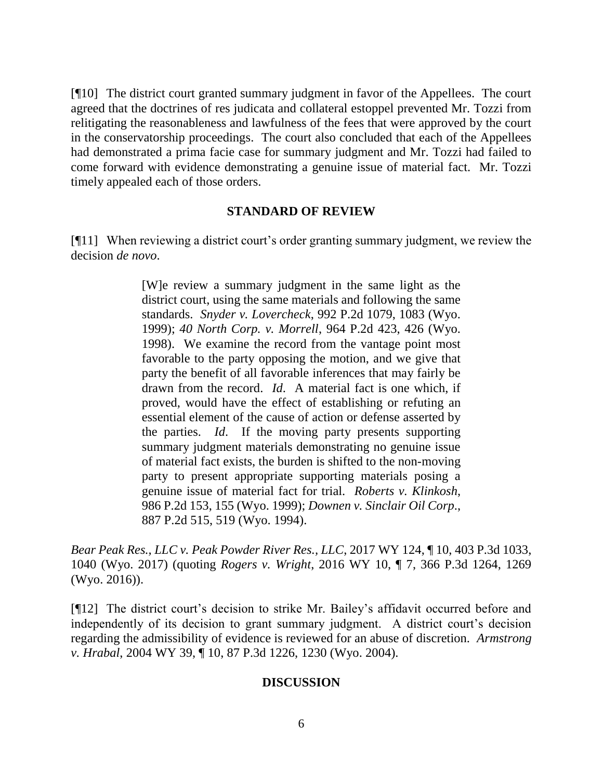[¶10] The district court granted summary judgment in favor of the Appellees. The court agreed that the doctrines of res judicata and collateral estoppel prevented Mr. Tozzi from relitigating the reasonableness and lawfulness of the fees that were approved by the court in the conservatorship proceedings. The court also concluded that each of the Appellees had demonstrated a prima facie case for summary judgment and Mr. Tozzi had failed to come forward with evidence demonstrating a genuine issue of material fact. Mr. Tozzi timely appealed each of those orders.

#### **STANDARD OF REVIEW**

[¶11] When reviewing a district court's order granting summary judgment, we review the decision *de novo*.

> [W]e review a summary judgment in the same light as the district court, using the same materials and following the same standards. *Snyder v. Lovercheck*, 992 P.2d 1079, 1083 (Wyo. 1999); *40 North Corp. v. Morrell*, 964 P.2d 423, 426 (Wyo. 1998). We examine the record from the vantage point most favorable to the party opposing the motion, and we give that party the benefit of all favorable inferences that may fairly be drawn from the record. *Id*. A material fact is one which, if proved, would have the effect of establishing or refuting an essential element of the cause of action or defense asserted by the parties. *Id*. If the moving party presents supporting summary judgment materials demonstrating no genuine issue of material fact exists, the burden is shifted to the non-moving party to present appropriate supporting materials posing a genuine issue of material fact for trial. *Roberts v. Klinkosh*, 986 P.2d 153, 155 (Wyo. 1999); *Downen v. Sinclair Oil Corp*., 887 P.2d 515, 519 (Wyo. 1994).

*Bear Peak Res., LLC v. Peak Powder River Res., LLC*, 2017 WY 124, ¶ 10, 403 P.3d 1033, 1040 (Wyo. 2017) (quoting *Rogers v. Wright*, 2016 WY 10, ¶ 7, 366 P.3d 1264, 1269 (Wyo. 2016)).

[¶12] The district court's decision to strike Mr. Bailey's affidavit occurred before and independently of its decision to grant summary judgment. A district court's decision regarding the admissibility of evidence is reviewed for an abuse of discretion. *Armstrong v. Hrabal*, 2004 WY 39, ¶ 10, 87 P.3d 1226, 1230 (Wyo. 2004).

### **DISCUSSION**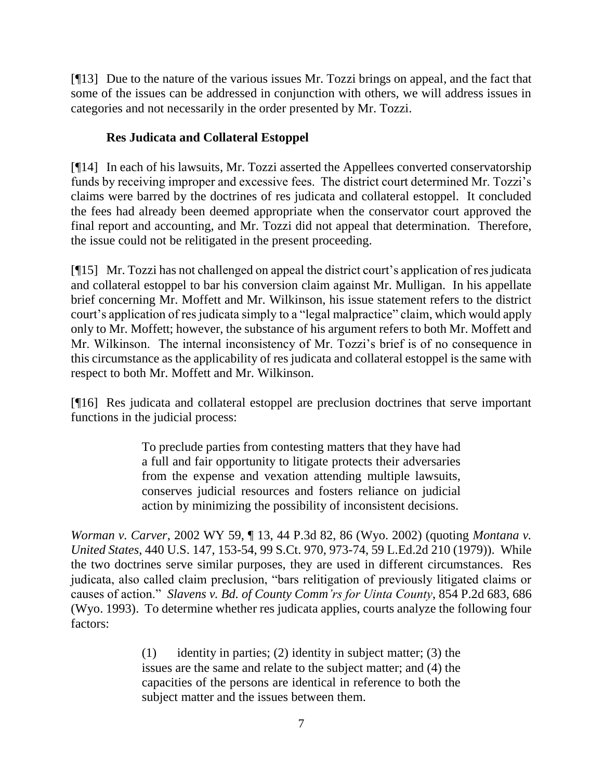[¶13] Due to the nature of the various issues Mr. Tozzi brings on appeal, and the fact that some of the issues can be addressed in conjunction with others, we will address issues in categories and not necessarily in the order presented by Mr. Tozzi.

# **Res Judicata and Collateral Estoppel**

[¶14] In each of his lawsuits, Mr. Tozzi asserted the Appellees converted conservatorship funds by receiving improper and excessive fees. The district court determined Mr. Tozzi's claims were barred by the doctrines of res judicata and collateral estoppel. It concluded the fees had already been deemed appropriate when the conservator court approved the final report and accounting, and Mr. Tozzi did not appeal that determination. Therefore, the issue could not be relitigated in the present proceeding.

[¶15] Mr. Tozzi has not challenged on appeal the district court's application of res judicata and collateral estoppel to bar his conversion claim against Mr. Mulligan. In his appellate brief concerning Mr. Moffett and Mr. Wilkinson, his issue statement refers to the district court's application of res judicata simply to a "legal malpractice" claim, which would apply only to Mr. Moffett; however, the substance of his argument refers to both Mr. Moffett and Mr. Wilkinson. The internal inconsistency of Mr. Tozzi's brief is of no consequence in this circumstance as the applicability of res judicata and collateral estoppel is the same with respect to both Mr. Moffett and Mr. Wilkinson.

[¶16] Res judicata and collateral estoppel are preclusion doctrines that serve important functions in the judicial process:

> To preclude parties from contesting matters that they have had a full and fair opportunity to litigate protects their adversaries from the expense and vexation attending multiple lawsuits, conserves judicial resources and fosters reliance on judicial action by minimizing the possibility of inconsistent decisions.

*Worman v. Carver*, 2002 WY 59, ¶ 13, 44 P.3d 82, 86 (Wyo. 2002) (quoting *Montana v. United States*, 440 U.S. 147, 153-54, 99 S.Ct. 970, 973-74, 59 L.Ed.2d 210 (1979)). While the two doctrines serve similar purposes, they are used in different circumstances. Res judicata, also called claim preclusion, "bars relitigation of previously litigated claims or causes of action." *Slavens v. Bd. of County Comm'rs for Uinta County*, 854 P.2d 683, 686 (Wyo. 1993). To determine whether res judicata applies, courts analyze the following four factors:

> (1) identity in parties; (2) identity in subject matter; (3) the issues are the same and relate to the subject matter; and (4) the capacities of the persons are identical in reference to both the subject matter and the issues between them.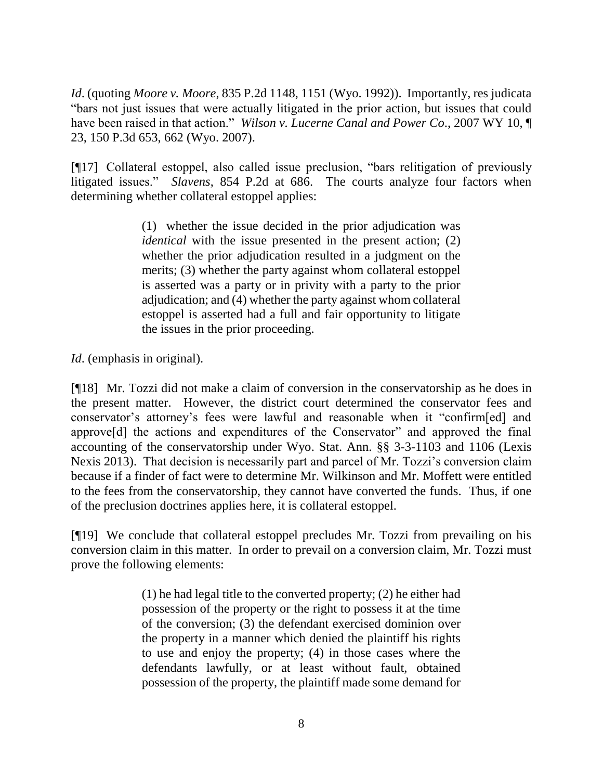*Id*. (quoting *Moore v. Moore*, 835 P.2d 1148, 1151 (Wyo. 1992)). Importantly, res judicata "bars not just issues that were actually litigated in the prior action, but issues that could have been raised in that action." *Wilson v. Lucerne Canal and Power Co*., 2007 WY 10, ¶ 23, 150 P.3d 653, 662 (Wyo. 2007).

[¶17] Collateral estoppel, also called issue preclusion, "bars relitigation of previously litigated issues." *Slavens*, 854 P.2d at 686. The courts analyze four factors when determining whether collateral estoppel applies:

> (1) whether the issue decided in the prior adjudication was *identical* with the issue presented in the present action; (2) whether the prior adjudication resulted in a judgment on the merits; (3) whether the party against whom collateral estoppel is asserted was a party or in privity with a party to the prior adjudication; and (4) whether the party against whom collateral estoppel is asserted had a full and fair opportunity to litigate the issues in the prior proceeding.

*Id*. (emphasis in original).

[¶18] Mr. Tozzi did not make a claim of conversion in the conservatorship as he does in the present matter. However, the district court determined the conservator fees and conservator's attorney's fees were lawful and reasonable when it "confirm[ed] and approve[d] the actions and expenditures of the Conservator" and approved the final accounting of the conservatorship under Wyo. Stat. Ann. §§ 3-3-1103 and 1106 (Lexis Nexis 2013). That decision is necessarily part and parcel of Mr. Tozzi's conversion claim because if a finder of fact were to determine Mr. Wilkinson and Mr. Moffett were entitled to the fees from the conservatorship, they cannot have converted the funds. Thus, if one of the preclusion doctrines applies here, it is collateral estoppel.

[¶19] We conclude that collateral estoppel precludes Mr. Tozzi from prevailing on his conversion claim in this matter. In order to prevail on a conversion claim, Mr. Tozzi must prove the following elements:

> (1) he had legal title to the converted property; (2) he either had possession of the property or the right to possess it at the time of the conversion; (3) the defendant exercised dominion over the property in a manner which denied the plaintiff his rights to use and enjoy the property; (4) in those cases where the defendants lawfully, or at least without fault, obtained possession of the property, the plaintiff made some demand for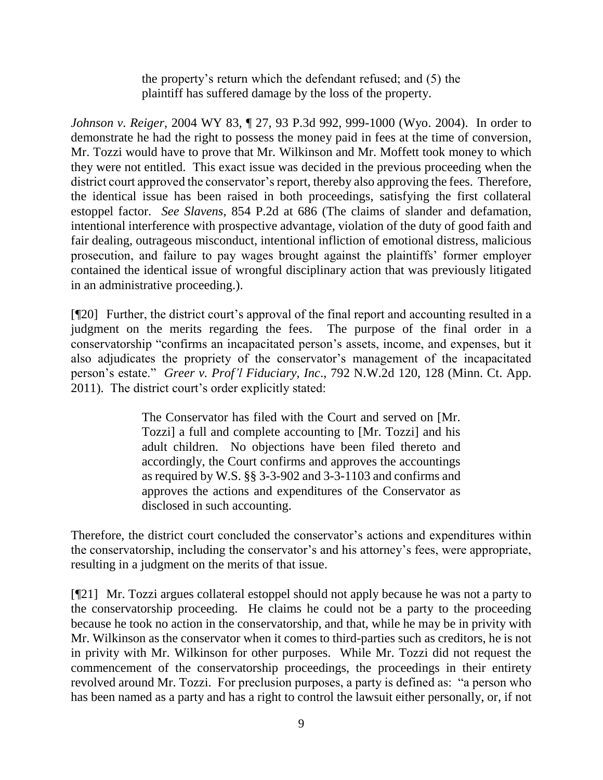the property's return which the defendant refused; and (5) the plaintiff has suffered damage by the loss of the property.

*Johnson v. Reiger*, 2004 WY 83, ¶ 27, 93 P.3d 992, 999-1000 (Wyo. 2004). In order to demonstrate he had the right to possess the money paid in fees at the time of conversion, Mr. Tozzi would have to prove that Mr. Wilkinson and Mr. Moffett took money to which they were not entitled. This exact issue was decided in the previous proceeding when the district court approved the conservator's report, thereby also approving the fees. Therefore, the identical issue has been raised in both proceedings, satisfying the first collateral estoppel factor. *See Slavens*, 854 P.2d at 686 (The claims of slander and defamation, intentional interference with prospective advantage, violation of the duty of good faith and fair dealing, outrageous misconduct, intentional infliction of emotional distress, malicious prosecution, and failure to pay wages brought against the plaintiffs' former employer contained the identical issue of wrongful disciplinary action that was previously litigated in an administrative proceeding.).

[¶20] Further, the district court's approval of the final report and accounting resulted in a judgment on the merits regarding the fees. The purpose of the final order in a conservatorship "confirms an incapacitated person's assets, income, and expenses, but it also adjudicates the propriety of the conservator's management of the incapacitated person's estate." *Greer v. Prof'l Fiduciary, Inc*., 792 N.W.2d 120, 128 (Minn. Ct. App. 2011). The district court's order explicitly stated:

> The Conservator has filed with the Court and served on [Mr. Tozzi] a full and complete accounting to [Mr. Tozzi] and his adult children. No objections have been filed thereto and accordingly, the Court confirms and approves the accountings as required by W.S. §§ 3-3-902 and 3-3-1103 and confirms and approves the actions and expenditures of the Conservator as disclosed in such accounting.

Therefore, the district court concluded the conservator's actions and expenditures within the conservatorship, including the conservator's and his attorney's fees, were appropriate, resulting in a judgment on the merits of that issue.

[¶21] Mr. Tozzi argues collateral estoppel should not apply because he was not a party to the conservatorship proceeding. He claims he could not be a party to the proceeding because he took no action in the conservatorship, and that, while he may be in privity with Mr. Wilkinson as the conservator when it comes to third-parties such as creditors, he is not in privity with Mr. Wilkinson for other purposes. While Mr. Tozzi did not request the commencement of the conservatorship proceedings, the proceedings in their entirety revolved around Mr. Tozzi. For preclusion purposes, a party is defined as: "a person who has been named as a party and has a right to control the lawsuit either personally, or, if not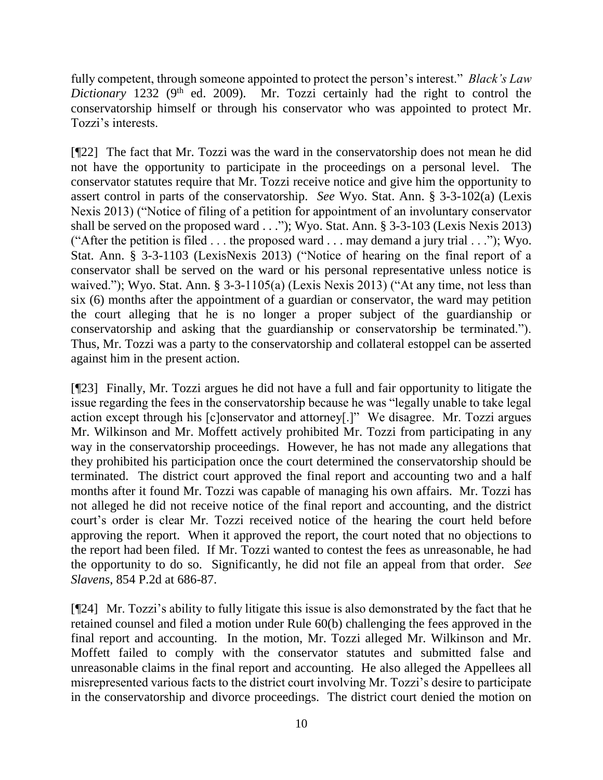fully competent, through someone appointed to protect the person's interest." *Black's Law Dictionary* 1232 (9<sup>th ed. 2009). Mr. Tozzi certainly had the right to control the</sup> conservatorship himself or through his conservator who was appointed to protect Mr. Tozzi's interests.

[¶22] The fact that Mr. Tozzi was the ward in the conservatorship does not mean he did not have the opportunity to participate in the proceedings on a personal level. The conservator statutes require that Mr. Tozzi receive notice and give him the opportunity to assert control in parts of the conservatorship. *See* Wyo. Stat. Ann. § 3-3-102(a) (Lexis Nexis 2013) ("Notice of filing of a petition for appointment of an involuntary conservator shall be served on the proposed ward . . ."); Wyo. Stat. Ann. § 3-3-103 (Lexis Nexis 2013) ("After the petition is filed  $\dots$  the proposed ward  $\dots$  may demand a jury trial  $\dots$ "); Wyo. Stat. Ann. § 3-3-1103 (LexisNexis 2013) ("Notice of hearing on the final report of a conservator shall be served on the ward or his personal representative unless notice is waived."); Wyo. Stat. Ann. § 3-3-1105(a) (Lexis Nexis 2013) ("At any time, not less than six (6) months after the appointment of a guardian or conservator, the ward may petition the court alleging that he is no longer a proper subject of the guardianship or conservatorship and asking that the guardianship or conservatorship be terminated."). Thus, Mr. Tozzi was a party to the conservatorship and collateral estoppel can be asserted against him in the present action.

[¶23] Finally, Mr. Tozzi argues he did not have a full and fair opportunity to litigate the issue regarding the fees in the conservatorship because he was "legally unable to take legal action except through his [c]onservator and attorney[.]" We disagree. Mr. Tozzi argues Mr. Wilkinson and Mr. Moffett actively prohibited Mr. Tozzi from participating in any way in the conservatorship proceedings. However, he has not made any allegations that they prohibited his participation once the court determined the conservatorship should be terminated. The district court approved the final report and accounting two and a half months after it found Mr. Tozzi was capable of managing his own affairs. Mr. Tozzi has not alleged he did not receive notice of the final report and accounting, and the district court's order is clear Mr. Tozzi received notice of the hearing the court held before approving the report. When it approved the report, the court noted that no objections to the report had been filed. If Mr. Tozzi wanted to contest the fees as unreasonable, he had the opportunity to do so. Significantly, he did not file an appeal from that order. *See Slavens*, 854 P.2d at 686-87.

[¶24] Mr. Tozzi's ability to fully litigate this issue is also demonstrated by the fact that he retained counsel and filed a motion under Rule 60(b) challenging the fees approved in the final report and accounting. In the motion, Mr. Tozzi alleged Mr. Wilkinson and Mr. Moffett failed to comply with the conservator statutes and submitted false and unreasonable claims in the final report and accounting. He also alleged the Appellees all misrepresented various facts to the district court involving Mr. Tozzi's desire to participate in the conservatorship and divorce proceedings. The district court denied the motion on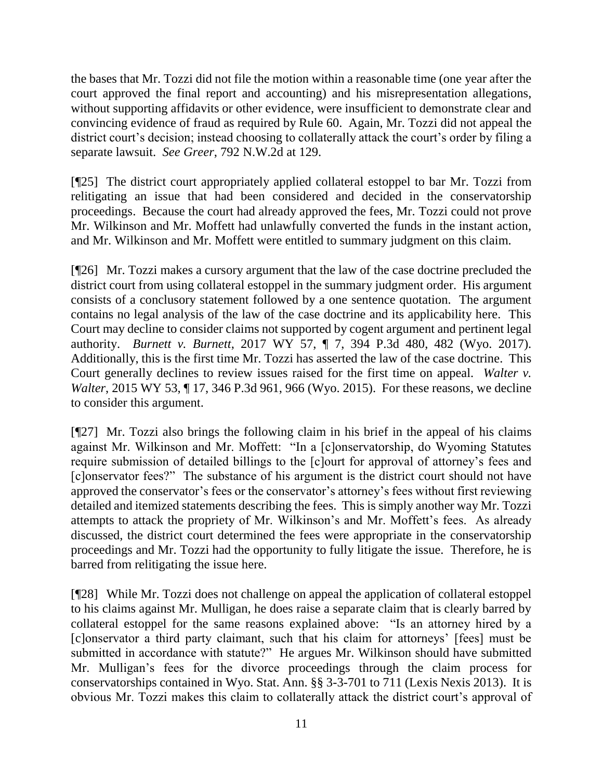the bases that Mr. Tozzi did not file the motion within a reasonable time (one year after the court approved the final report and accounting) and his misrepresentation allegations, without supporting affidavits or other evidence, were insufficient to demonstrate clear and convincing evidence of fraud as required by Rule 60. Again, Mr. Tozzi did not appeal the district court's decision; instead choosing to collaterally attack the court's order by filing a separate lawsuit. *See Greer*, 792 N.W.2d at 129.

[¶25] The district court appropriately applied collateral estoppel to bar Mr. Tozzi from relitigating an issue that had been considered and decided in the conservatorship proceedings. Because the court had already approved the fees, Mr. Tozzi could not prove Mr. Wilkinson and Mr. Moffett had unlawfully converted the funds in the instant action, and Mr. Wilkinson and Mr. Moffett were entitled to summary judgment on this claim.

[¶26] Mr. Tozzi makes a cursory argument that the law of the case doctrine precluded the district court from using collateral estoppel in the summary judgment order. His argument consists of a conclusory statement followed by a one sentence quotation. The argument contains no legal analysis of the law of the case doctrine and its applicability here. This Court may decline to consider claims not supported by cogent argument and pertinent legal authority. *Burnett v. Burnett*, 2017 WY 57, ¶ 7, 394 P.3d 480, 482 (Wyo. 2017). Additionally, this is the first time Mr. Tozzi has asserted the law of the case doctrine. This Court generally declines to review issues raised for the first time on appeal. *Walter v. Walter*, 2015 WY 53, 17, 346 P.3d 961, 966 (Wyo. 2015). For these reasons, we decline to consider this argument.

[¶27] Mr. Tozzi also brings the following claim in his brief in the appeal of his claims against Mr. Wilkinson and Mr. Moffett: "In a [c]onservatorship, do Wyoming Statutes require submission of detailed billings to the [c]ourt for approval of attorney's fees and [c]onservator fees?" The substance of his argument is the district court should not have approved the conservator's fees or the conservator's attorney's fees without first reviewing detailed and itemized statements describing the fees. This is simply another way Mr. Tozzi attempts to attack the propriety of Mr. Wilkinson's and Mr. Moffett's fees. As already discussed, the district court determined the fees were appropriate in the conservatorship proceedings and Mr. Tozzi had the opportunity to fully litigate the issue. Therefore, he is barred from relitigating the issue here.

[¶28] While Mr. Tozzi does not challenge on appeal the application of collateral estoppel to his claims against Mr. Mulligan, he does raise a separate claim that is clearly barred by collateral estoppel for the same reasons explained above: "Is an attorney hired by a [c]onservator a third party claimant, such that his claim for attorneys' [fees] must be submitted in accordance with statute?" He argues Mr. Wilkinson should have submitted Mr. Mulligan's fees for the divorce proceedings through the claim process for conservatorships contained in Wyo. Stat. Ann. §§ 3-3-701 to 711 (Lexis Nexis 2013). It is obvious Mr. Tozzi makes this claim to collaterally attack the district court's approval of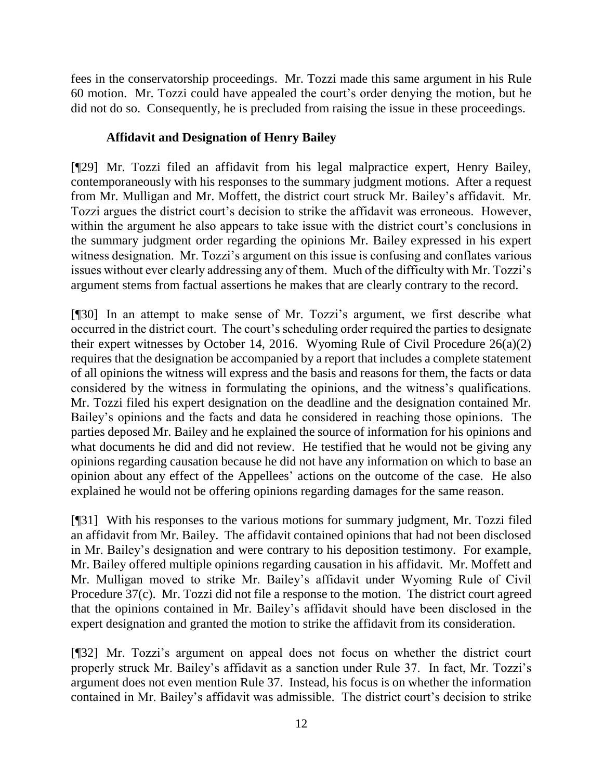fees in the conservatorship proceedings. Mr. Tozzi made this same argument in his Rule 60 motion. Mr. Tozzi could have appealed the court's order denying the motion, but he did not do so. Consequently, he is precluded from raising the issue in these proceedings.

## **Affidavit and Designation of Henry Bailey**

[¶29] Mr. Tozzi filed an affidavit from his legal malpractice expert, Henry Bailey, contemporaneously with his responses to the summary judgment motions. After a request from Mr. Mulligan and Mr. Moffett, the district court struck Mr. Bailey's affidavit. Mr. Tozzi argues the district court's decision to strike the affidavit was erroneous. However, within the argument he also appears to take issue with the district court's conclusions in the summary judgment order regarding the opinions Mr. Bailey expressed in his expert witness designation. Mr. Tozzi's argument on this issue is confusing and conflates various issues without ever clearly addressing any of them. Much of the difficulty with Mr. Tozzi's argument stems from factual assertions he makes that are clearly contrary to the record.

[¶30] In an attempt to make sense of Mr. Tozzi's argument, we first describe what occurred in the district court. The court's scheduling order required the parties to designate their expert witnesses by October 14, 2016. Wyoming Rule of Civil Procedure 26(a)(2) requires that the designation be accompanied by a report that includes a complete statement of all opinions the witness will express and the basis and reasons for them, the facts or data considered by the witness in formulating the opinions, and the witness's qualifications. Mr. Tozzi filed his expert designation on the deadline and the designation contained Mr. Bailey's opinions and the facts and data he considered in reaching those opinions. The parties deposed Mr. Bailey and he explained the source of information for his opinions and what documents he did and did not review. He testified that he would not be giving any opinions regarding causation because he did not have any information on which to base an opinion about any effect of the Appellees' actions on the outcome of the case. He also explained he would not be offering opinions regarding damages for the same reason.

[¶31] With his responses to the various motions for summary judgment, Mr. Tozzi filed an affidavit from Mr. Bailey. The affidavit contained opinions that had not been disclosed in Mr. Bailey's designation and were contrary to his deposition testimony. For example, Mr. Bailey offered multiple opinions regarding causation in his affidavit. Mr. Moffett and Mr. Mulligan moved to strike Mr. Bailey's affidavit under Wyoming Rule of Civil Procedure 37(c). Mr. Tozzi did not file a response to the motion. The district court agreed that the opinions contained in Mr. Bailey's affidavit should have been disclosed in the expert designation and granted the motion to strike the affidavit from its consideration.

[¶32] Mr. Tozzi's argument on appeal does not focus on whether the district court properly struck Mr. Bailey's affidavit as a sanction under Rule 37. In fact, Mr. Tozzi's argument does not even mention Rule 37. Instead, his focus is on whether the information contained in Mr. Bailey's affidavit was admissible. The district court's decision to strike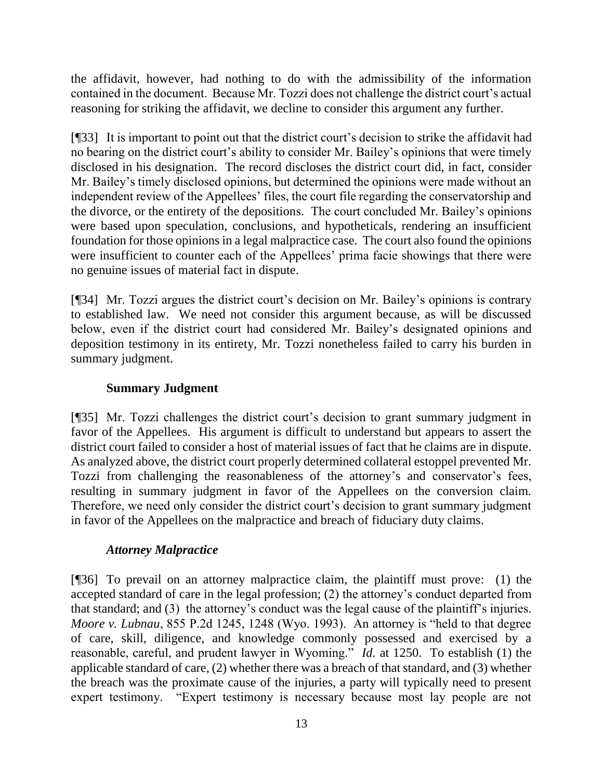the affidavit, however, had nothing to do with the admissibility of the information contained in the document. Because Mr. Tozzi does not challenge the district court's actual reasoning for striking the affidavit, we decline to consider this argument any further.

[¶33] It is important to point out that the district court's decision to strike the affidavit had no bearing on the district court's ability to consider Mr. Bailey's opinions that were timely disclosed in his designation. The record discloses the district court did, in fact, consider Mr. Bailey's timely disclosed opinions, but determined the opinions were made without an independent review of the Appellees' files, the court file regarding the conservatorship and the divorce, or the entirety of the depositions. The court concluded Mr. Bailey's opinions were based upon speculation, conclusions, and hypotheticals, rendering an insufficient foundation for those opinions in a legal malpractice case. The court also found the opinions were insufficient to counter each of the Appellees' prima facie showings that there were no genuine issues of material fact in dispute.

[¶34] Mr. Tozzi argues the district court's decision on Mr. Bailey's opinions is contrary to established law. We need not consider this argument because, as will be discussed below, even if the district court had considered Mr. Bailey's designated opinions and deposition testimony in its entirety, Mr. Tozzi nonetheless failed to carry his burden in summary judgment.

## **Summary Judgment**

[¶35] Mr. Tozzi challenges the district court's decision to grant summary judgment in favor of the Appellees. His argument is difficult to understand but appears to assert the district court failed to consider a host of material issues of fact that he claims are in dispute. As analyzed above, the district court properly determined collateral estoppel prevented Mr. Tozzi from challenging the reasonableness of the attorney's and conservator's fees, resulting in summary judgment in favor of the Appellees on the conversion claim. Therefore, we need only consider the district court's decision to grant summary judgment in favor of the Appellees on the malpractice and breach of fiduciary duty claims.

# *Attorney Malpractice*

[¶36] To prevail on an attorney malpractice claim, the plaintiff must prove: (1) the accepted standard of care in the legal profession; (2) the attorney's conduct departed from that standard; and (3) the attorney's conduct was the legal cause of the plaintiff's injuries. *Moore v. Lubnau*, 855 P.2d 1245, 1248 (Wyo. 1993). An attorney is "held to that degree of care, skill, diligence, and knowledge commonly possessed and exercised by a reasonable, careful, and prudent lawyer in Wyoming." *Id.* at 1250. To establish (1) the applicable standard of care, (2) whether there was a breach of that standard, and (3) whether the breach was the proximate cause of the injuries, a party will typically need to present expert testimony. "Expert testimony is necessary because most lay people are not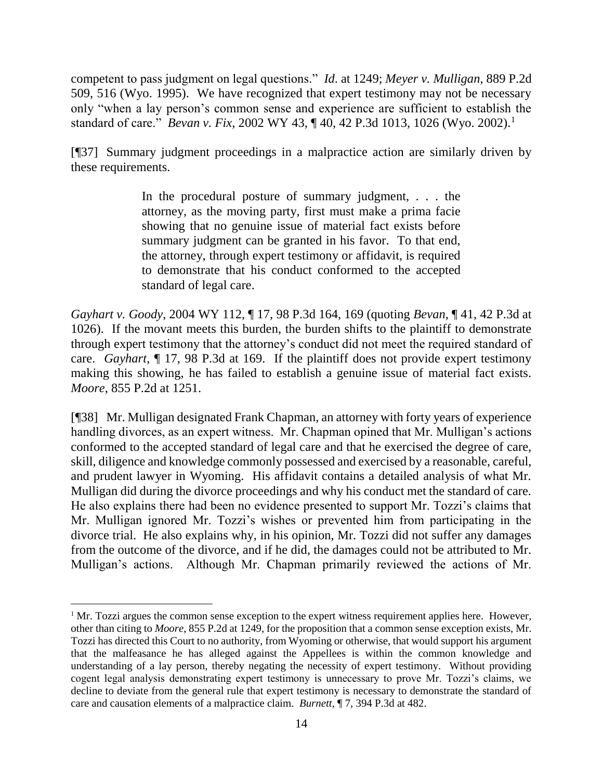competent to pass judgment on legal questions." *Id*. at 1249; *Meyer v. Mulligan*, 889 P.2d 509, 516 (Wyo. 1995). We have recognized that expert testimony may not be necessary only "when a lay person's common sense and experience are sufficient to establish the standard of care." *Bevan v. Fix*, 2002 WY 43, ¶ 40, 42 P.3d 1013, 1026 (Wyo. 2002).<sup>1</sup>

[¶37] Summary judgment proceedings in a malpractice action are similarly driven by these requirements.

> In the procedural posture of summary judgment, . . . the attorney, as the moving party, first must make a prima facie showing that no genuine issue of material fact exists before summary judgment can be granted in his favor. To that end, the attorney, through expert testimony or affidavit, is required to demonstrate that his conduct conformed to the accepted standard of legal care.

*Gayhart v. Goody*, 2004 WY 112, ¶ 17, 98 P.3d 164, 169 (quoting *Bevan*, ¶ 41, 42 P.3d at 1026). If the movant meets this burden, the burden shifts to the plaintiff to demonstrate through expert testimony that the attorney's conduct did not meet the required standard of care. *Gayhart*, ¶ 17, 98 P.3d at 169. If the plaintiff does not provide expert testimony making this showing, he has failed to establish a genuine issue of material fact exists. *Moore*, 855 P.2d at 1251.

[¶38] Mr. Mulligan designated Frank Chapman, an attorney with forty years of experience handling divorces, as an expert witness. Mr. Chapman opined that Mr. Mulligan's actions conformed to the accepted standard of legal care and that he exercised the degree of care, skill, diligence and knowledge commonly possessed and exercised by a reasonable, careful, and prudent lawyer in Wyoming. His affidavit contains a detailed analysis of what Mr. Mulligan did during the divorce proceedings and why his conduct met the standard of care. He also explains there had been no evidence presented to support Mr. Tozzi's claims that Mr. Mulligan ignored Mr. Tozzi's wishes or prevented him from participating in the divorce trial. He also explains why, in his opinion, Mr. Tozzi did not suffer any damages from the outcome of the divorce, and if he did, the damages could not be attributed to Mr. Mulligan's actions. Although Mr. Chapman primarily reviewed the actions of Mr.

 $<sup>1</sup>$  Mr. Tozzi argues the common sense exception to the expert witness requirement applies here. However,</sup> other than citing to *Moore*, 855 P.2d at 1249, for the proposition that a common sense exception exists, Mr. Tozzi has directed this Court to no authority, from Wyoming or otherwise, that would support his argument that the malfeasance he has alleged against the Appellees is within the common knowledge and understanding of a lay person, thereby negating the necessity of expert testimony. Without providing cogent legal analysis demonstrating expert testimony is unnecessary to prove Mr. Tozzi's claims, we decline to deviate from the general rule that expert testimony is necessary to demonstrate the standard of care and causation elements of a malpractice claim. *Burnett*, ¶ 7, 394 P.3d at 482.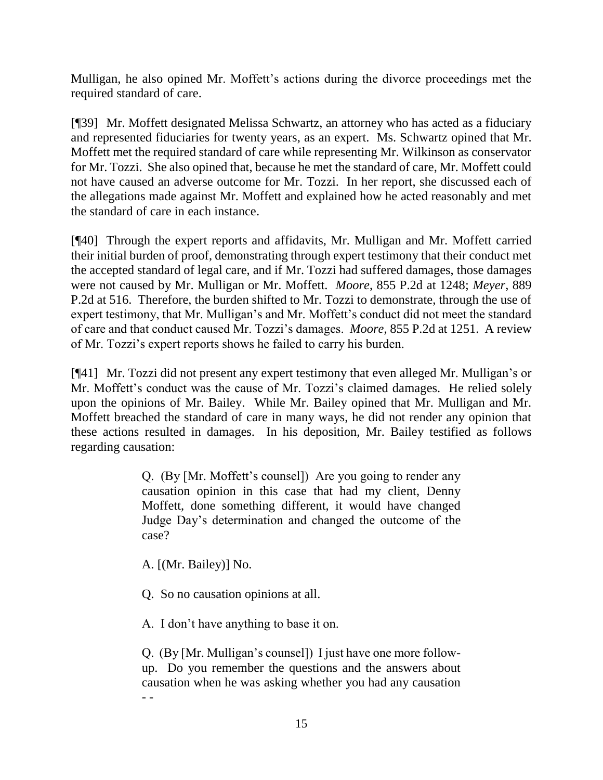Mulligan, he also opined Mr. Moffett's actions during the divorce proceedings met the required standard of care.

[¶39] Mr. Moffett designated Melissa Schwartz, an attorney who has acted as a fiduciary and represented fiduciaries for twenty years, as an expert. Ms. Schwartz opined that Mr. Moffett met the required standard of care while representing Mr. Wilkinson as conservator for Mr. Tozzi. She also opined that, because he met the standard of care, Mr. Moffett could not have caused an adverse outcome for Mr. Tozzi. In her report, she discussed each of the allegations made against Mr. Moffett and explained how he acted reasonably and met the standard of care in each instance.

[¶40] Through the expert reports and affidavits, Mr. Mulligan and Mr. Moffett carried their initial burden of proof, demonstrating through expert testimony that their conduct met the accepted standard of legal care, and if Mr. Tozzi had suffered damages, those damages were not caused by Mr. Mulligan or Mr. Moffett. *Moore*, 855 P.2d at 1248; *Meyer*, 889 P.2d at 516. Therefore, the burden shifted to Mr. Tozzi to demonstrate, through the use of expert testimony, that Mr. Mulligan's and Mr. Moffett's conduct did not meet the standard of care and that conduct caused Mr. Tozzi's damages. *Moore*, 855 P.2d at 1251. A review of Mr. Tozzi's expert reports shows he failed to carry his burden.

[¶41] Mr. Tozzi did not present any expert testimony that even alleged Mr. Mulligan's or Mr. Moffett's conduct was the cause of Mr. Tozzi's claimed damages. He relied solely upon the opinions of Mr. Bailey. While Mr. Bailey opined that Mr. Mulligan and Mr. Moffett breached the standard of care in many ways, he did not render any opinion that these actions resulted in damages. In his deposition, Mr. Bailey testified as follows regarding causation:

> Q. (By [Mr. Moffett's counsel]) Are you going to render any causation opinion in this case that had my client, Denny Moffett, done something different, it would have changed Judge Day's determination and changed the outcome of the case?

A. [(Mr. Bailey)] No.

Q. So no causation opinions at all.

A. I don't have anything to base it on.

Q. (By [Mr. Mulligan's counsel]) I just have one more followup. Do you remember the questions and the answers about causation when he was asking whether you had any causation - -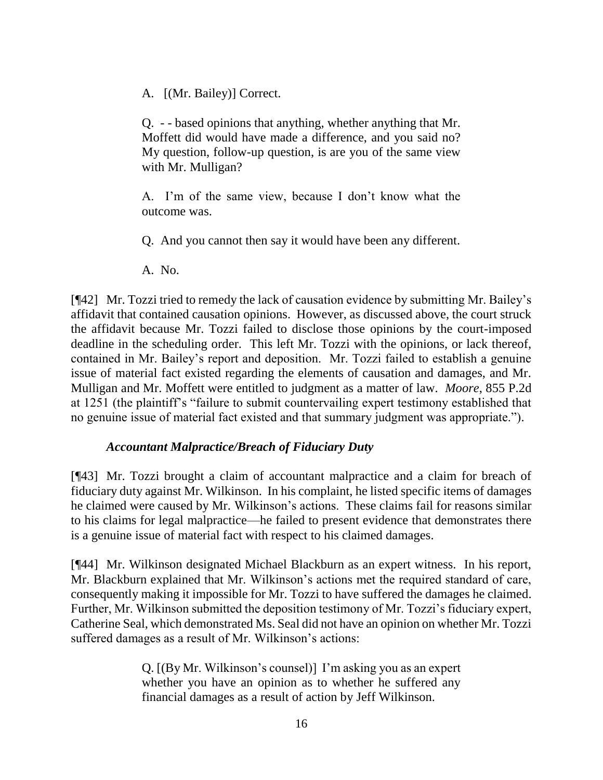A. [(Mr. Bailey)] Correct.

Q. - - based opinions that anything, whether anything that Mr. Moffett did would have made a difference, and you said no? My question, follow-up question, is are you of the same view with Mr. Mulligan?

A. I'm of the same view, because I don't know what the outcome was.

Q. And you cannot then say it would have been any different.

A. No.

[¶42] Mr. Tozzi tried to remedy the lack of causation evidence by submitting Mr. Bailey's affidavit that contained causation opinions. However, as discussed above, the court struck the affidavit because Mr. Tozzi failed to disclose those opinions by the court-imposed deadline in the scheduling order. This left Mr. Tozzi with the opinions, or lack thereof, contained in Mr. Bailey's report and deposition. Mr. Tozzi failed to establish a genuine issue of material fact existed regarding the elements of causation and damages, and Mr. Mulligan and Mr. Moffett were entitled to judgment as a matter of law. *Moore*, 855 P.2d at 1251 (the plaintiff's "failure to submit countervailing expert testimony established that no genuine issue of material fact existed and that summary judgment was appropriate.").

## *Accountant Malpractice/Breach of Fiduciary Duty*

[¶43] Mr. Tozzi brought a claim of accountant malpractice and a claim for breach of fiduciary duty against Mr. Wilkinson. In his complaint, he listed specific items of damages he claimed were caused by Mr. Wilkinson's actions. These claims fail for reasons similar to his claims for legal malpractice—he failed to present evidence that demonstrates there is a genuine issue of material fact with respect to his claimed damages.

[¶44] Mr. Wilkinson designated Michael Blackburn as an expert witness. In his report, Mr. Blackburn explained that Mr. Wilkinson's actions met the required standard of care, consequently making it impossible for Mr. Tozzi to have suffered the damages he claimed. Further, Mr. Wilkinson submitted the deposition testimony of Mr. Tozzi's fiduciary expert, Catherine Seal, which demonstrated Ms. Seal did not have an opinion on whether Mr. Tozzi suffered damages as a result of Mr. Wilkinson's actions:

> Q. [(By Mr. Wilkinson's counsel)] I'm asking you as an expert whether you have an opinion as to whether he suffered any financial damages as a result of action by Jeff Wilkinson.